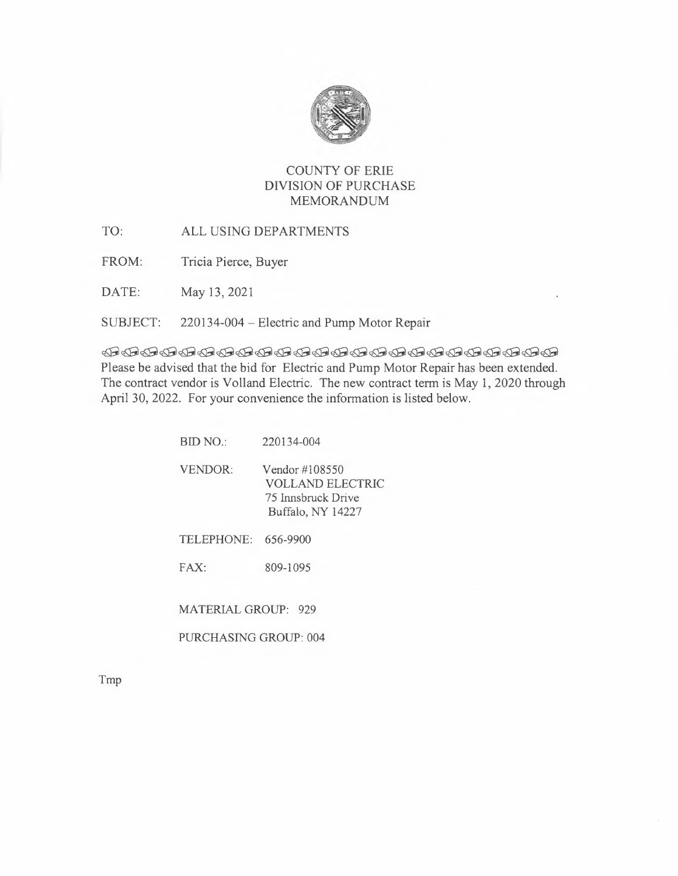

### COUNTY OF ERIE DIVISION OF PURCHASE MEMORANDUM

TO: ALL USING DEPARTMENTS

FROM: Tricia Pierce, Buyer

DATE: May 13, 2021

### SUBJECT: 220134-004 - Electric and Pump Motor Repair

 $~$   $~$   $\oplus$   $~$   $\oplus$   $~$   $\oplus$   $~$   $\oplus$   $~$   $\oplus$   $~$   $\oplus$   $~$   $\oplus$   $~$   $\oplus$   $~$   $\oplus$   $~$   $\oplus$   $~$   $\oplus$   $~$   $\oplus$   $~$ Please be advised that the bid for Electric and Pump Motor Repair has been extended. The contract vendor is Volland Electric. The new contract term is May 1, 2020 through April 30, 2022. For your convenience the information is listed below.

| BID NO.            | 220134-004                                                                    |
|--------------------|-------------------------------------------------------------------------------|
| <b>VENDOR:</b>     | Vendor #108550<br>VOLLAND ELECTRIC<br>75 Innsbruck Drive<br>Buffalo, NY 14227 |
| <b>TELEPHONE:</b>  | 656-9900                                                                      |
| FAX:               | 809-1095                                                                      |
| MATERIAL GROUP 929 |                                                                               |

PURCHASING GROUP: 004

Tmp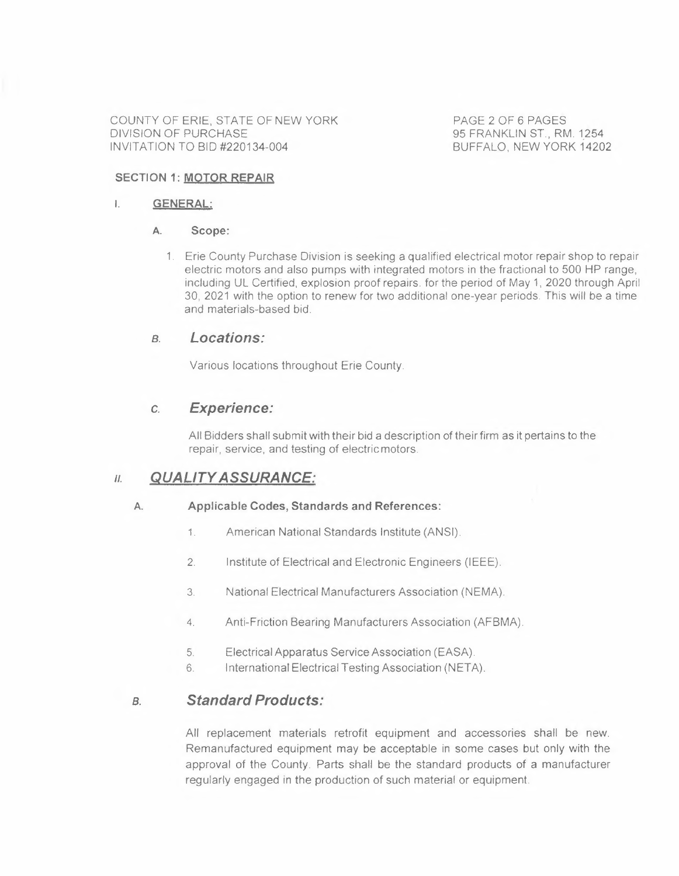COUNTY OF ERIE, STATE OF NEW YORK DIVISION OF PURCHASE INVITATION TO BID #220134-004

PAGE 2 OF 6 PAGES 95 FRANKLIN ST., RM, 1254 BUFFALO, NEW YORK 14202

#### **SECTION 1: MOTOR REPAIR**

#### **I. GENERAL:**

#### **A. Scope:**

1. Erie County Purchase Division is seeking a qualified electrical motor repair shop to repair electric motors and also pumps with integrated motors in the fractional to 500 HP range, including UL Certified, explosion proof repairs. for the period of May 1, 2020 through April 30, 2021 with the option to renew for two additional one-year periods. This will be a time and materials-based bid.

#### *a. Locations:*

Various locations throughout Erie County

### **c.** *Experience:*

All Bidders shall submit with their bid a description of their firm as it pertains to the repair, service, and testing of electric motors.

### *11. QUALITY ASSURANCE:*

#### **A. Applicable Codes, Standards and References:**

- 1. American National Standards Institute (ANSI).
- 2. Institute of Electrical and Electronic Engineers (IEEE).
- 3. National Electrical Manufacturers Association (NEMA).
- 4. Anti-Friction Bearing Manufacturers Association (AFBMA).
- 5. Electrical Apparatus Service Association (EASA).
- 6. International Electrical Testing Association (NETA).

### *a. Standard Products:*

All replacement materials retrofit equipment and accessories shall be new. Remanufactured equipment may be acceptable in some cases but only with the approval of the County. Parts shall be the standard products of a manufacturer regularly engaged in the production of such material or equipment.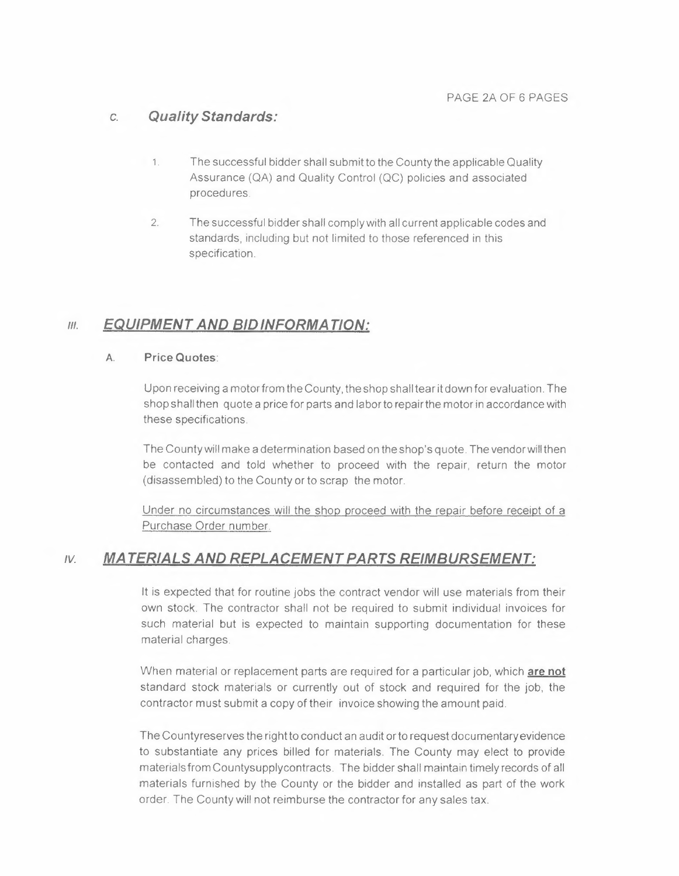## c. *Quality Standards:*

- 1. The successful bidder shall submit to the County the applicable Quality Assurance (QA) and Quality Control (QC) policies and associated procedures.
- 2. The successful bidder shall comply with all current applicable codes and standards, including but not limited to those referenced in this specification.

# *Ill. EQUIPMENT AND BID INFORMATION:*

#### **A. Price Quotes:**

Upon receiving a motor from the County, the shop shall tear it down for evaluation. The shop shall then quote a price for parts and labor to repair the motor in accordance with these specifications.

The County will make a determination based on the shop's quote. The vendor will then be contacted and told whether to proceed with the repair, return the motor (disassembled) to the County or to scrap the motor.

Under no circumstances will the shop proceed with the repair before receipt of a Purchase Order number.

## *,v. MATERIALS AND REPLACEMENT PARTS REIMBURSEMENT:*

lt is expected that for routine jobs the contract vendor will use materials from their own stock. The contractor shall not be required to submit individual invoices for such material but is expected to maintain supporting documentation for these material charges.

When material or replacement parts are required for a particular job, which **are not**  standard stock materials or currently out of stock and required for the job, the contractor must submit a copy of their invoice showing the amount paid.

The Countyreserves the right to conduct an audit or to request documentary evidence to substantiate any prices billed for materials. The County may elect to provide materials from Countysupplycontracts. The bidder shall maintain timely records of all materials furnished by the County or the bidder and installed as part of the work order. The County will not reimburse the contractor for any sales tax.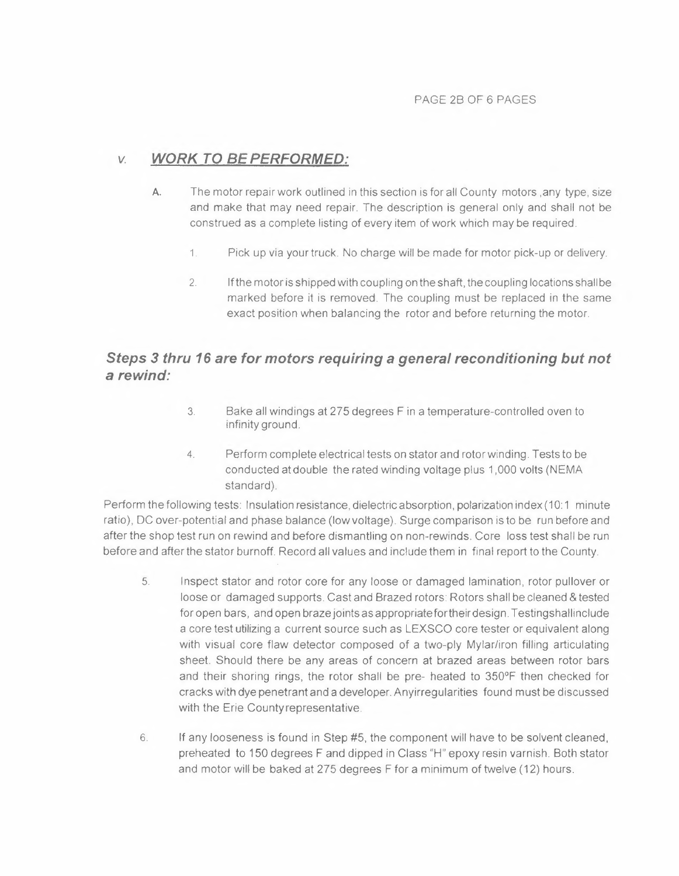## *v. WORK TO BE PERFORMED:*

- **A.** The motor repair work outlined in this section is for all County motors ,any type, size and make that may need repair. The description is general only and shall not be construed as a complete listing of every item of work which may be required
	- 1. Pick up via your truck. No charge will be made for motor pick-up or delivery.
	- 2. If the motor is shipped with coupling on the shaft, the coupling locations shall be marked before it is removed. The coupling must be replaced in the same exact position when balancing the rotor and before returning the motor.

# *Steps 3 thru* **16** *are for motors requiring a general reconditioning but not a rewind:*

- 3. Bake all windings at 275 degrees Fin a temperature-controlled oven to infinity ground.
- 4. Perform complete electrical tests on stator and rotor winding. Tests to be conducted at double the rated winding voltage plus 1,000 volts (NEMA standard).

Perform the following tests: Insulation resistance, dielectric absorption, polarization index (10:1 minute ratio), DC over-potential and phase balance (low voltage). Surge comparison is to be run before and after the shop test run on rewind and before dismantling on non-rewinds. Core loss test shall be run before and after the stator burnoff. Record all values and include them in final report to the County.

- 5. Inspect stator and rotor core for any loose or damaged lamination, rotor pullover or loose or damaged supports. Cast and Brazed rotors: Rotors shall be cleaned & tested for open bars, and open braze joints as appropriate for their design. Testingshallinclude a core test utilizing a current source such as LEXSCO core tester or equivalent along with visual core flaw detector composed of a two-ply Mylar/iron filling articulating sheet. Should there be any areas of concern at brazed areas between rotor bars and their shoring rings, the rotor shall be pre- heated to 350°F then checked for cracks with dye penetrant and a developer. Anyirregularities found must be discussed with the Erie Countyrepresentative.
- 6. If any looseness is found in Step #5, the component will have to be solvent cleaned, preheated to 150 degrees Fand dipped in Class "H" epoxy resin varnish. Both stator and motor will be baked at 275 degrees F for a minimum of twelve (12) hours.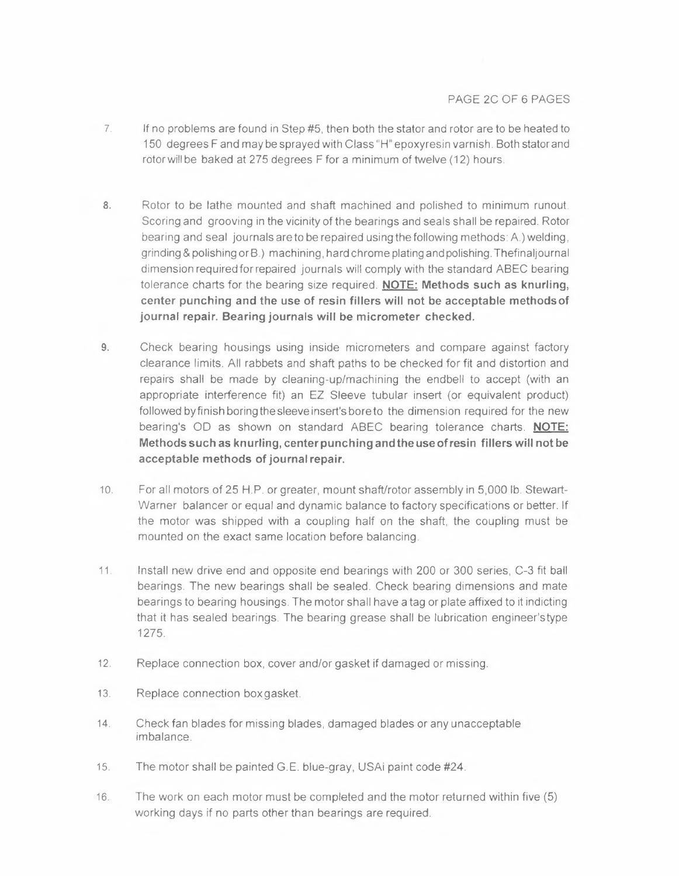- 7. If no problems are found in Step #5, then both the stator and rotor are to be heated to 150 degrees Fand may be sprayed with Class "H" epoxyresin varnish. Both stator and rotor will be baked at 275 degrees F for a minimum of twelve (12) hours.
- **8.** Rotor to be lathe mounted and shaft machined and polished to minimum runout. Scoring and grooving in the vicinity of the bearings and seals shall be repaired. Rotor bearing and seal journals are to be repaired using the following methods: A.) welding, grinding & polishing or B.) machining, hard chrome plating and polishing. Thefinaljournal dimension required for repaired journals will comply with the standard ABEC bearing tolerance charts for the bearing size required. **NOTE: Methods such as knurling, center punching and the use of resin fillers will not be acceptable methods of journal repair. Bearing journals will be micrometer checked.**
- **9.** Check bearing housings using inside micrometers and compare against factory clearance limits. All rabbets and shaft paths to be checked for fit and distortion and repairs shall be made by cleaning-up/machining the endbell to accept (with an appropriate interference fit) an EZ Sleeve tubular insert (or equivalent product) followed by finish boring the sleeve insert's bore to the dimension required for the new bearing's OD as shown on standard ABEC bearing tolerance charts. **NOTE: Methods such as knurling, center punching and the use of resin fillers will not be acceptable methods of journal repair.**
- 10. For all motors of 25 H.P. or greater, mount shaft/rotor assembly in 5,000 lb. Stewart-Warner balancer or equal and dynamic balance to factory specifications or better. If the motor was shipped with a coupling half on the shaft, the coupling must be mounted on the exact same location before balancing.
- 11. Install new drive end and opposite end bearings with 200 or 300 series, C-3 fit ball bearings. The new bearings shall be sealed. Check bearing dimensions and mate bearings to bearing housings. The motor shall have a tag or plate affixed to it indicting that it has sealed bearings. The bearing grease shall be lubrication engineer'stype 1275.
- 12. Replace connection box, cover and/or gasket if damaged or missing.
- 13. Replace connection box gasket.
- 14. Check fan blades for missing blades, damaged blades or any unacceptable imbalance.
- 15. The motor shall be painted G.E. blue-gray, USAi paint code #24.
- 16. The work on each motor must be completed and the motor returned within five (5) working days if no parts other than bearings are required.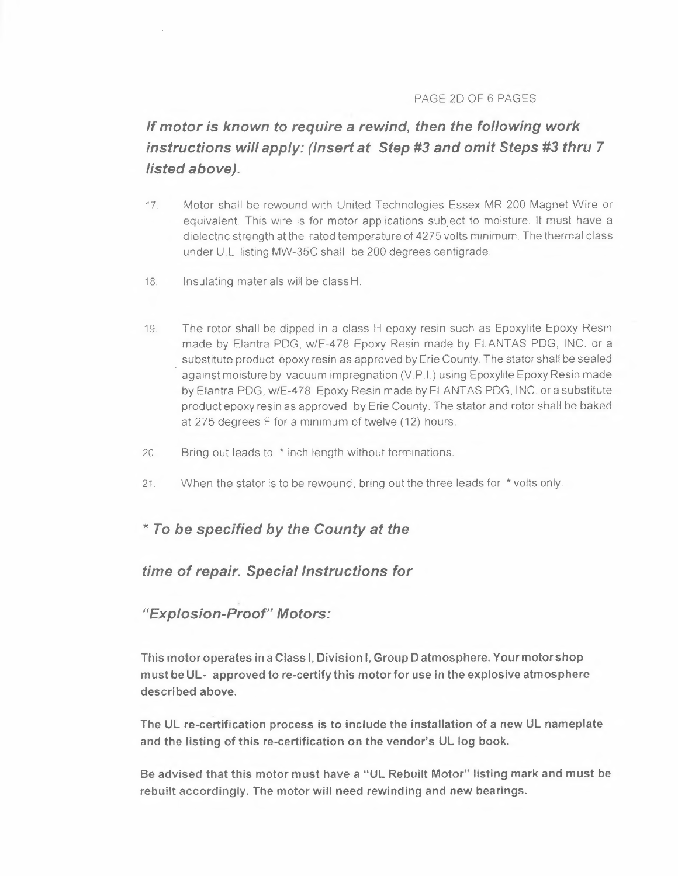#### PAGE 2D OF 6 PAGES

# *If motor is known to require a rewind, then the following work instructions will apply: (Insert at Step #3 and omit Steps #3 thru* **7**  *listed above).*

- 17. Motor shall be rewound with United Technologies Essex MR 200 Magnet Wire or equivalent. This wire is for motor applications subject to moisture. It must have a dielectric strength at the rated temperature of 4275 volts minimum. The thermal class under U.L. listing MW-35C shall be 200 degrees centigrade.
- 18. Insulating materials will be class H.
- 19. The rotor shall be dipped in a class H epoxy resin such as Epoxylite Epoxy Resin made by Elantra PDG, w/E-478 Epoxy Resin made by ELANTAS PDG, INC. or a substitute product epoxy resin as approved by Erie County. The stator shall be sealed against moisture by vacuum impregnation (V.P.I.) using Epoxylite Epoxy Resin made by Elantra PDG, w/E-478 Epoxy Resin made by ELANTAS PDG, INC. or a substitute product epoxy resin as approved by Erie County. The stator and rotor shall be baked at 275 degrees F for a minimum of twelve (12) hours.
- 20. Bring out leads to \* inch length without terminations.
- 21. When the stator is to be rewound, bring out the three leads for \* volts only.

### *\*Tobe specified by the County at the*

### *time of repair. Special Instructions for*

#### *"Explosion-Proof" Motors:*

**This motor operates in a Class I, Division I, Group D atmosphere. Your motor shop**  must be UL- approved to re-certify this motor for use in the explosive atmosphere **described above.** 

**The UL re-certification process is to include the installation of a new UL nameplate and the listing of this re-certification on the vendor's UL log book.** 

**Be advised that this motor must have a "UL Rebuilt Motor" listing mark and must be rebuilt accordingly. The motor will need rewinding and new bearings.**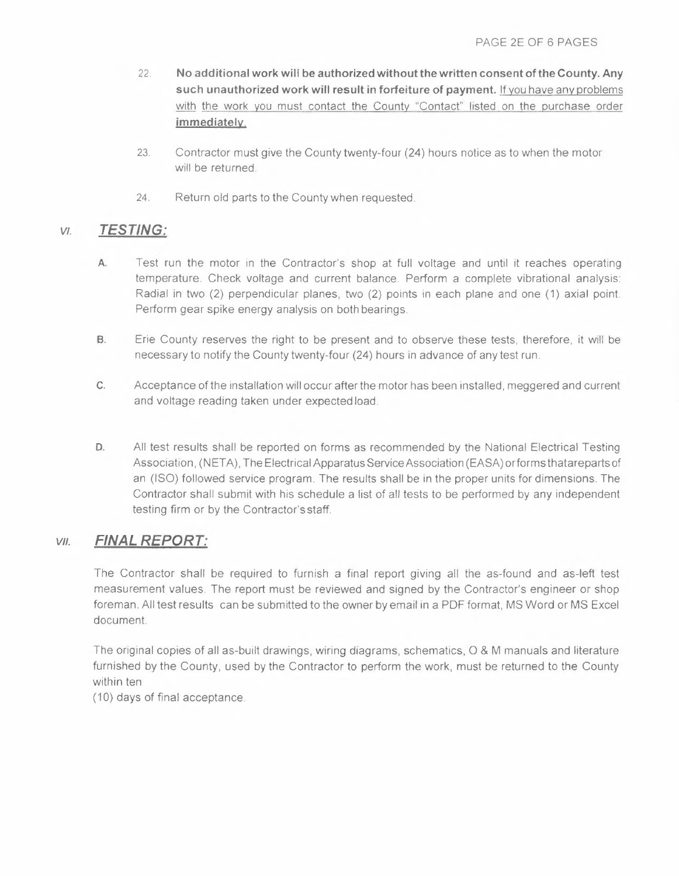- 22. **No additional work will be authorized without the written consent of the County. Any such unauthorized work will result in forfeiture of payment.** If you have any problems with the work you must contact the County "Contact" listed on the purchase order **immediately.**
- 23. Contractor must give the County twenty-four (24) hours notice as to when the motor will be returned.
- 24. Return old parts to the County when requested.

## *v,. TESTING:*

- **A.** Test run the motor in the Contractor's shop at full voltage and until it reaches operating temperature. Check voltage and current balance. Perform a complete vibrational analysis: Radial in two (2) perpendicular planes, two (2) points in each plane and one (1) axial point. Perform gear spike energy analysis on both bearings.
- **B.** Erie County reserves the right to be present and to observe these tests, therefore, it will be necessary to notify the County twenty-four (24) hours in advance of any test run.
- **C.** Acceptance of the installation will occur after the motor has been installed, meggered and current and voltage reading taken under expected load.
- **D.** All test results shall be reported on forms as recommended by the National Electrical Testing Association, (NETA), The Electrical Apparatus Service Association (EASA) or forms thatareparts of an (ISO) followed service program. The results shall be in the proper units for dimensions. The Contractor shall submit with his schedule a list of all tests to be performed by any independent testing firm or by the Contractor's staff.

## *VII. FINAL REPORT:*

The Contractor shall be required to furnish a final report giving all the as-found and as-left test measurement values. The report must be reviewed and signed by the Contractor's engineer or shop foreman. All test results can be submitted to the owner by email in a PDF format, MS Word or MS Excel document.

The original copies of all as-built drawings, wiring diagrams, schematics, O & M manuals and literature furnished by the County, used by the Contractor to perform the work, must be returned to the County within ten

(10) days of final acceptance.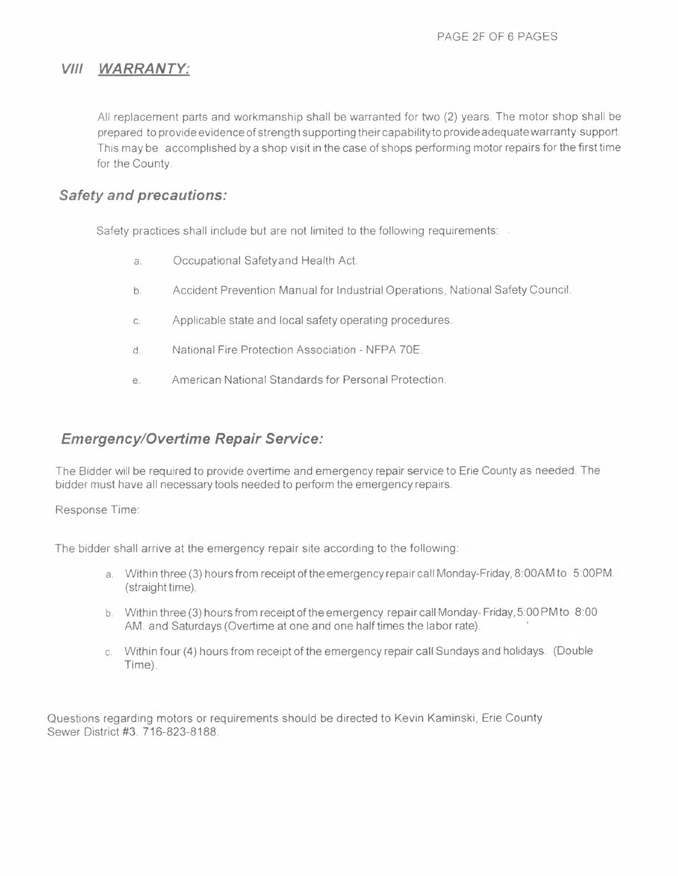## *VIII WARRANTY:*

All replacement parts and workmanship shall be warranted for two (2) years. The motor shop shall be prepared to provide evidence of strength supporting their capabilityto provide adequate warranty support. This may be accomplished by a shop visit in the case of shops performing motor repairs for the first time for the County.

## *Safety and precautions:*

Safety practices shall include but are not limited to the following requirements:

- a. Occupational Safetyand Health Act.
- b. Accident Prevention Manual for Industrial Operations, National Safety Council.
- c. Applicable state and local safety operating procedures.
- d. National Fire Protection Association NFPA ?OE.
- e. American National Standards for Personal Protection.

## *Emergency/Overtime Repair Service:*

The Bidder will be required to provide overtime and emergency repair service to Erie County as needed. The bidder must have all necessary tools needed to perform the emergency repairs.

Response Time:

The bidder shall arrive at the emergency repair site according to the following:

- a. Within three (3) hours from receipt of the emergency repair call Monday-Friday, 8: 00AM to 5:00PM. (straight time).
- b. Within three (3) hours from receipt of the emergency repair call Monday- Friday, 5:00 PM to 8:00 AM. and Saturdays (Overtime at one and one half times the labor rate).
- c. Within four (4) hours from receipt of the emergency repair call Sundays and holidays. (Double Time).

Questions regarding motors or requirements should be directed to Kevin Kaminski, Erie County Sewer District #3. 716-823-8188.